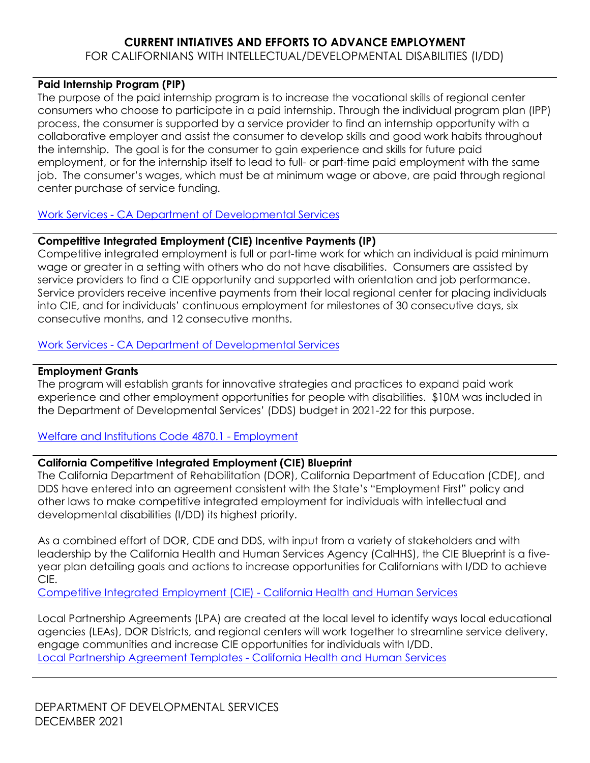# **CURRENT INTIATIVES AND EFFORTS TO ADVANCE EMPLOYMENT**

### FOR CALIFORNIANS WITH INTELLECTUAL/DEVELOPMENTAL DISABILITIES (I/DD)

#### **Paid Internship Program (PIP)**

The purpose of the paid internship program is to increase the vocational skills of regional center consumers who choose to participate in a paid internship. Through the individual program plan (IPP) process, the consumer is supported by a service provider to find an internship opportunity with a collaborative employer and assist the consumer to develop skills and good work habits throughout the internship. The goal is for the consumer to gain experience and skills for future paid employment, or for the internship itself to lead to full- or part-time paid employment with the same job. The consumer's wages, which must be at minimum wage or above, are paid through regional center purchase of service funding.

## Work Services - [CA Department of Developmental Services](https://www.dds.ca.gov/services/work-services/)

## **Competitive Integrated Employment (CIE) Incentive Payments (IP)**

Competitive integrated employment is full or part-time work for which an individual is paid minimum wage or greater in a setting with others who do not have disabilities. Consumers are assisted by service providers to find a CIE opportunity and supported with orientation and job performance. Service providers receive incentive payments from their local regional center for placing individuals into CIE, and for individuals' continuous employment for milestones of 30 consecutive days, six consecutive months, and 12 consecutive months.

## Work Services - [CA Department of Developmental Services](https://www.dds.ca.gov/services/work-services/)

## **Employment Grants**

The program will establish grants for innovative strategies and practices to expand paid work experience and other employment opportunities for people with disabilities. \$10M was included in the Department of Developmental Services' (DDS) budget in 2021-22 for this purpose.

## [Welfare and Institutions Code 4870.1 -](https://leginfo.legislature.ca.gov/faces/codes_displaySection.xhtml?lawCode=WIC§ionNum=4870.1.) Employment

## **California Competitive Integrated Employment (CIE) Blueprint**

The California Department of Rehabilitation (DOR), California Department of Education (CDE), and DDS have entered into an agreement consistent with the State's "Employment First" policy and other laws to make competitive integrated employment for individuals with intellectual and developmental disabilities (I/DD) its highest priority.

As a combined effort of DOR, CDE and DDS, with input from a variety of stakeholders and with leadership by the California Health and Human Services Agency (CalHHS), the CIE Blueprint is a fiveyear plan detailing goals and actions to increase opportunities for Californians with I/DD to achieve CIE.

[Competitive Integrated Employment \(CIE\) -](https://www.chhs.ca.gov/home/cie/) California Health and Human Services

Local Partnership Agreements (LPA) are created at the local level to identify ways local educational agencies (LEAs), DOR Districts, and regional centers will work together to streamline service delivery, engage communities and increase CIE opportunities for individuals with I/DD. [Local Partnership Agreement Templates -](https://www.chhs.ca.gov/home/cie/lpa/) California Health and Human Services